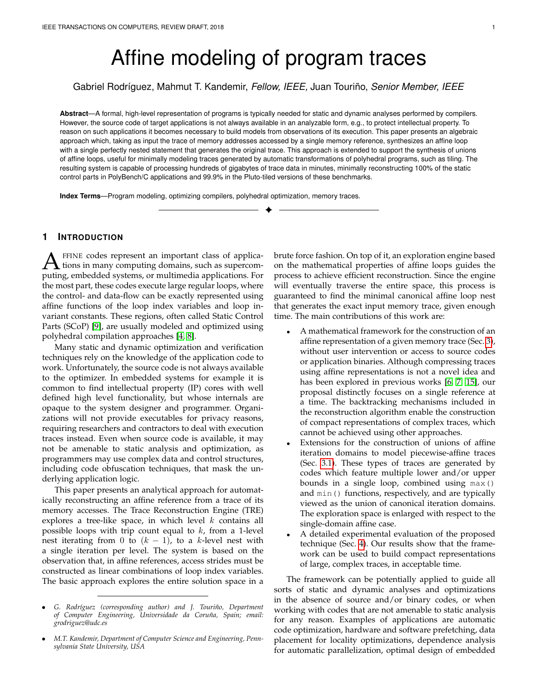# Affine modeling of program traces

Gabriel Rodr´ıguez, Mahmut T. Kandemir, *Fellow, IEEE,* Juan Tourino, ˜ *Senior Member, IEEE*

**Abstract**—A formal, high-level representation of programs is typically needed for static and dynamic analyses performed by compilers. However, the source code of target applications is not always available in an analyzable form, e.g., to protect intellectual property. To reason on such applications it becomes necessary to build models from observations of its execution. This paper presents an algebraic approach which, taking as input the trace of memory addresses accessed by a single memory reference, synthesizes an affine loop with a single perfectly nested statement that generates the original trace. This approach is extended to support the synthesis of unions of affine loops, useful for minimally modeling traces generated by automatic transformations of polyhedral programs, such as tiling. The resulting system is capable of processing hundreds of gigabytes of trace data in minutes, minimally reconstructing 100% of the static control parts in PolyBench/C applications and 99.9% in the Pluto-tiled versions of these benchmarks.

✦

**Index Terms**—Program modeling, optimizing compilers, polyhedral optimization, memory traces.

# **1 INTRODUCTION**

**A** FFINE codes represent an important class of applications in many computing domains, such as supercomputing, embedded systems, or multimedia applications. For FFINE codes represent an important class of applications in many computing domains, such as supercomthe most part, these codes execute large regular loops, where the control- and data-flow can be exactly represented using affine functions of the loop index variables and loop invariant constants. These regions, often called Static Control Parts (SCoP) [\[9\]](#page-7-0), are usually modeled and optimized using polyhedral compilation approaches [\[4,](#page-7-1) [8\]](#page-7-2).

Many static and dynamic optimization and verification techniques rely on the knowledge of the application code to work. Unfortunately, the source code is not always available to the optimizer. In embedded systems for example it is common to find intellectual property (IP) cores with well defined high level functionality, but whose internals are opaque to the system designer and programmer. Organizations will not provide executables for privacy reasons, requiring researchers and contractors to deal with execution traces instead. Even when source code is available, it may not be amenable to static analysis and optimization, as programmers may use complex data and control structures, including code obfuscation techniques, that mask the underlying application logic.

This paper presents an analytical approach for automatically reconstructing an affine reference from a trace of its memory accesses. The Trace Reconstruction Engine (TRE) explores a tree-like space, in which level  $k$  contains all possible loops with trip count equal to  $k$ , from a 1-level nest iterating from 0 to  $(k - 1)$ , to a k-level nest with a single iteration per level. The system is based on the observation that, in affine references, access strides must be constructed as linear combinations of loop index variables. The basic approach explores the entire solution space in a

brute force fashion. On top of it, an exploration engine based on the mathematical properties of affine loops guides the process to achieve efficient reconstruction. Since the engine will eventually traverse the entire space, this process is guaranteed to find the minimal canonical affine loop nest that generates the exact input memory trace, given enough time. The main contributions of this work are:

- A mathematical framework for the construction of an affine representation of a given memory trace (Sec. [3\)](#page-2-0), without user intervention or access to source codes or application binaries. Although compressing traces using affine representations is not a novel idea and has been explored in previous works [\[6,](#page-7-3) [7,](#page-7-4) [15\]](#page-7-5), our proposal distinctly focuses on a single reference at a time. The backtracking mechanisms included in the reconstruction algorithm enable the construction of compact representations of complex traces, which cannot be achieved using other approaches.
- Extensions for the construction of unions of affine iteration domains to model piecewise-affine traces (Sec. [3.1\)](#page-2-1). These types of traces are generated by codes which feature multiple lower and/or upper bounds in a single loop, combined using max() and min() functions, respectively, and are typically viewed as the union of canonical iteration domains. The exploration space is enlarged with respect to the single-domain affine case.
- A detailed experimental evaluation of the proposed technique (Sec. [4\)](#page-4-0). Our results show that the framework can be used to build compact representations of large, complex traces, in acceptable time.

The framework can be potentially applied to guide all sorts of static and dynamic analyses and optimizations in the absence of source and/or binary codes, or when working with codes that are not amenable to static analysis for any reason. Examples of applications are automatic code optimization, hardware and software prefetching, data placement for locality optimizations, dependence analysis for automatic parallelization, optimal design of embedded

<sup>•</sup> *G. Rodr´ıguez (corresponding author) and J. Touri ˜no, Department of Computer Engineering, Universidade da Coru ˜na, Spain; email: grodriguez@udc.es*

<sup>•</sup> *M.T. Kandemir, Department of Computer Science and Engineering, Pennsylvania State University, USA*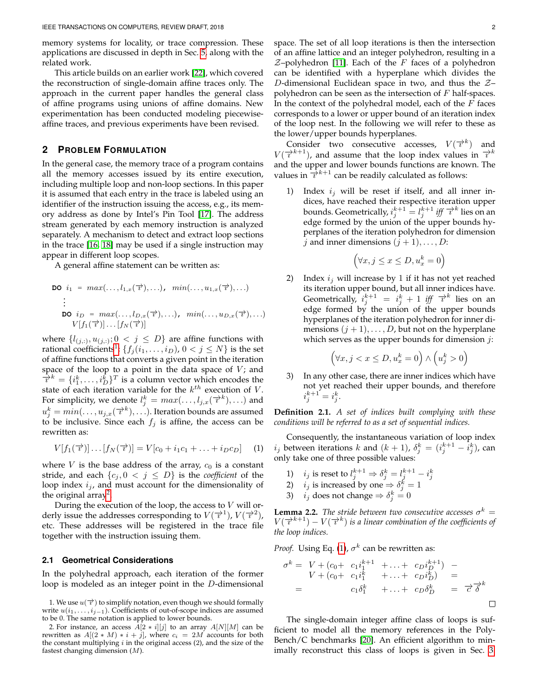memory systems for locality, or trace compression. These applications are discussed in depth in Sec. [5,](#page-6-0) along with the related work.

This article builds on an earlier work [\[22\]](#page-7-6), which covered the reconstruction of single-domain affine traces only. The approach in the current paper handles the general class of affine programs using unions of affine domains. New experimentation has been conducted modeling piecewiseaffine traces, and previous experiments have been revised.

# **2 PROBLEM FORMULATION**

In the general case, the memory trace of a program contains all the memory accesses issued by its entire execution, including multiple loop and non-loop sections. In this paper it is assumed that each entry in the trace is labeled using an identifier of the instruction issuing the access, e.g., its memory address as done by Intel's Pin Tool [\[17\]](#page-7-7). The address stream generated by each memory instruction is analyzed separately. A mechanism to detect and extract loop sections in the trace [\[16,](#page-7-8) [18\]](#page-7-9) may be used if a single instruction may appear in different loop scopes.

A general affine statement can be written as:

$$
\mathbf{DO} \quad i_1 = \max(\ldots, l_{1,x}(\overrightarrow{\tau}), \ldots), \quad \min(\ldots, u_{1,x}(\overrightarrow{\tau}), \ldots)
$$
\n
$$
\vdots
$$
\n
$$
\mathbf{DO} \quad i_D = \max(\ldots, l_{D,x}(\overrightarrow{\tau}), \ldots), \quad \min(\ldots, u_{D,x}(\overrightarrow{\tau}), \ldots)
$$
\n
$$
V[f_1(\overrightarrow{\tau})] \ldots [f_N(\overrightarrow{\tau})]
$$

where  $\{l_{(i,:)}, u_{(i,:)}; 0 \leq j \leq D\}$  are affine functions with rational coefficients $^1$  $^1$ ;  $\{f_j(i_1,\ldots,i_D),\,0< j\leq N\}$  is the set of affine functions that converts a given point in the iteration space of the loop to a point in the data space of  $V$ ; and  $\overrightarrow{v}^k = \{i_1^k, \ldots, i_D^k\}^T$  is a column vector which encodes the state of each iteration variable for the  $k^{th}$  execution of V. For simplicity, we denote  $l_j^k = max(\ldots, l_{j,x}(\overrightarrow{v}^k), \ldots)$  and  $u_j^k = min(\ldots, u_{j,x}(\vec{\tau}^k), \ldots)$ . Iteration bounds are assumed to be inclusive. Since each  $f_j$  is affine, the access can be rewritten as:

<span id="page-1-2"></span>
$$
V[f_1(\overrightarrow{\tau})] \dots [f_N(\overrightarrow{\tau})] = V[c_0 + i_1c_1 + \dots + i_Dc_D]
$$
 (1)

where  $V$  is the base address of the array,  $c_0$  is a constant stride, and each  $\{c_j, 0 \lt j \leq D\}$  is the *coefficient* of the loop index  $i_j$ , and must account for the dimensionality of the original array<sup>[2](#page-1-1)</sup>.

During the execution of the loop, the access to  $V$  will orderly issue the addresses corresponding to  $V(\overrightarrow{i})$ ,  $V(\overrightarrow{i})^2$ ), etc. These addresses will be registered in the trace file together with the instruction issuing them.

## <span id="page-1-5"></span>**2.1 Geometrical Considerations**

In the polyhedral approach, each iteration of the former loop is modeled as an integer point in the D-dimensional space. The set of all loop iterations is then the intersection of an affine lattice and an integer polyhedron, resulting in a  $Z$ -polyhedron [\[11\]](#page-7-10). Each of the F faces of a polyhedron can be identified with a hyperplane which divides the D-dimensional Euclidean space in two, and thus the  $Z$ polyhedron can be seen as the intersection of  $F$  half-spaces. In the context of the polyhedral model, each of the  $F$  faces corresponds to a lower or upper bound of an iteration index of the loop nest. In the following we will refer to these as the lower/upper bounds hyperplanes.

Consider two consecutive accesses,  $V(\vec{v}^k)$  and  $V(\overrightarrow{i}^{k+1})$ , and assume that the loop index values in  $\overrightarrow{i}^k$ and the upper and lower bounds functions are known. The values in  $\frac{1}{l}k+1$  can be readily calculated as follows:

1) Index  $i_j$  will be reset if itself, and all inner indices, have reached their respective iteration upper bounds. Geometrically,  $i_j^{k+1} = l_j^{k+1}$  *iff*  $\overline{\tau}^k$  lies on an edge formed by the union of the upper bounds hyperplanes of the iteration polyhedron for dimension j and inner dimensions  $(j + 1), \ldots, D$ :

$$
(\forall x, j \le x \le D, u_x^k = 0)
$$

2) Index  $i_j$  will increase by 1 if it has not yet reached its iteration upper bound, but all inner indices have. Geometrically,  $i_j^{k+1} = i_j^k + 1$  *iff*  $\overrightarrow{v}^k$  lies on an edge formed by the union of the upper bounds hyperplanes of the iteration polyhedron for inner dimensions  $(j + 1), \ldots, D$ , but not on the hyperplane which serves as the upper bounds for dimension  $j$ :

$$
(\forall x, j < x \le D, u_x^k = 0) \land \left(u_j^k > 0\right)
$$

3) In any other case, there are inner indices which have not yet reached their upper bounds, and therefore  $i_j^{k+1} = i_j^k$ .

<span id="page-1-4"></span>**Definition 2.1.** *A set of indices built complying with these conditions will be referred to as a set of sequential indices.*

Consequently, the instantaneous variation of loop index  $i_j$  between iterations  $k$  and  $(k + 1)$ ,  $\delta_j^k = (i_j^{k+1} - \tilde{i}_j^k)$ , can only take one of three possible values:

- 1)  $i_j$  is reset to  $l_j^{k+1} \Rightarrow \delta_j^k = l_j^{k+1} i_j^k$ <br>2)  $i_j$  is increased by one  $\Rightarrow \delta_j^k = 1$
- 
- 3)  $i_j$  does not change  $\Rightarrow \delta_j^k = 0$

<span id="page-1-3"></span>**Lemma 2.2.** *The stride between two consecutive accesses*  $\sigma^k =$  $V(\overrightarrow{i}^{k+1}) - V(\overrightarrow{i}^k)$  is a linear combination of the coefficients of *the loop indices.*

*Proof.* Using Eq. [\(1\)](#page-1-2),  $\sigma^k$  can be rewritten as:

$$
\sigma^{k} = V + (c_{0} + c_{1}i_{1}^{k+1} + \dots + c_{D}i_{D}^{k+1}) - V + (c_{0} + c_{1}i_{1}^{k} + \dots + c_{D}i_{D}^{k}) =
$$
  
=  $c_{1}\delta_{1}^{k} + \dots + c_{D}\delta_{D}^{k} = \overrightarrow{\sigma}\overrightarrow{\delta}^{k}$ 

The single-domain integer affine class of loops is sufficient to model all the memory references in the Poly-Bench/C benchmarks [\[20\]](#page-7-11). An efficient algorithm to minimally reconstruct this class of loops is given in Sec. [3.](#page-2-0)

<span id="page-1-0"></span><sup>1.</sup> We use  $u(\vec{v})$  to simplify notation, even though we should formally write  $u(i_1, \ldots, i_{j-1})$ . Coefficients of out-of-scope indices are assumed to be 0. The same notation is applied to lower bounds.

<span id="page-1-1"></span><sup>2.</sup> For instance, an access  $A[2 * i][j]$  to an array  $A[N][M]$  can be rewritten as  $A[(2 * M) * i + j]$ , where  $c_i = 2M$  accounts for both the constant multiplying  $i$  in the original access  $(2)$ , and the size of the fastest changing dimension (M).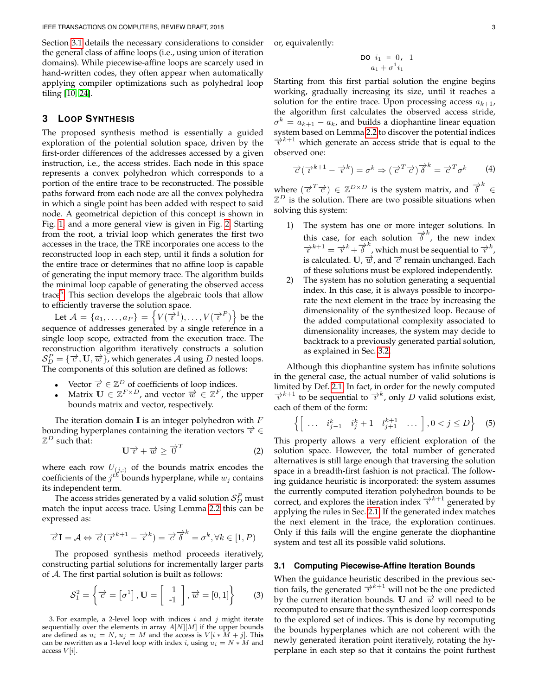Section [3.1](#page-2-1) details the necessary considerations to consider the general class of affine loops (i.e., using union of iteration domains). While piecewise-affine loops are scarcely used in hand-written codes, they often appear when automatically applying compiler optimizations such as polyhedral loop tiling [\[10,](#page-7-12) [24\]](#page-7-13).

# <span id="page-2-0"></span>**3 LOOP SYNTHESIS**

The proposed synthesis method is essentially a guided exploration of the potential solution space, driven by the first-order differences of the addresses accessed by a given instruction, i.e., the access strides. Each node in this space represents a convex polyhedron which corresponds to a portion of the entire trace to be reconstructed. The possible paths forward from each node are all the convex polyhedra in which a single point has been added with respect to said node. A geometrical depiction of this concept is shown in Fig. [1,](#page-3-0) and a more general view is given in Fig. [2.](#page-3-1) Starting from the root, a trivial loop which generates the first two accesses in the trace, the TRE incorporates one access to the reconstructed loop in each step, until it finds a solution for the entire trace or determines that no affine loop is capable of generating the input memory trace. The algorithm builds the minimal loop capable of generating the observed access trace<sup>[3](#page-2-2)</sup>. This section develops the algebraic tools that allow to efficiently traverse the solution space.

Let  $\mathcal{A} = \{a_1, \ldots, a_P\} = \left\{V(\overrightarrow{\iota}^1), \ldots, V(\overrightarrow{\iota}^P)\right\}$  be the sequence of addresses generated by a single reference in a single loop scope, extracted from the execution trace. The reconstruction algorithm iteratively constructs a solution  $S_D^P = \{ \overrightarrow{c}, \mathbf{U}, \overrightarrow{w} \}$ , which generates A using D nested loops. The components of this solution are defined as follows:

- Vector  $\vec{c} \in \mathbb{Z}^D$  of coefficients of loop indices.
- Matrix  $\mathbf{U} \in \mathbb{Z}^{F \times D}$ , and vector  $\overrightarrow{w} \in \mathbb{Z}^{F}$ , the upper bounds matrix and vector, respectively.

The iteration domain **I** is an integer polyhedron with  $F$ bounding hyperplanes containing the iteration vectors  $\overrightarrow{v} \in$  $\mathbb{Z}^D$  such that:

$$
\mathbf{U}\overrightarrow{v}+\overrightarrow{w}\geq \overrightarrow{0}^{T}
$$
 (2)

where each row  $U_{(j,:)}$  of the bounds matrix encodes the coefficients of the  $j^{th}$  bounds hyperplane, while  $w_j$  contains its independent term.

The access strides generated by a valid solution  $\mathcal{S}_{D}^{P}$  must match the input access trace. Using Lemma [2.2](#page-1-3) this can be expressed as:

$$
\overrightarrow{c}\mathbf{I} = \mathcal{A} \Leftrightarrow \overrightarrow{c}(\overrightarrow{v}^{k+1} - \overrightarrow{v}^k) = \overrightarrow{c}\overrightarrow{\delta}^k = \sigma^k, \forall k \in [1, P)
$$

The proposed synthesis method proceeds iteratively, constructing partial solutions for incrementally larger parts of A. The first partial solution is built as follows:

$$
\mathcal{S}_1^2 = \left\{ \overrightarrow{c} = \begin{bmatrix} \sigma^1 \end{bmatrix}, \mathbf{U} = \begin{bmatrix} 1 \\ -1 \end{bmatrix}, \overrightarrow{w} = \begin{bmatrix} 0, 1 \end{bmatrix} \right\}
$$
 (3)

<span id="page-2-2"></span>3. For example, a 2-level loop with indices  $i$  and  $j$  might iterate sequentially over the elements in array  $A[N][M]$  if the upper bounds are defined as  $u_i = N$ ,  $u_j = M$  and the access is  $V[i * M + j]$ . This can be rewritten as a 1-level loop with index i, using  $u_i = N * M$  and access  $V[i]$ .

or, equivalently:

$$
\begin{array}{rcl}\n\text{DO} & i_1 = 0, & 1 \\
a_1 + \sigma^1 i_1\n\end{array}
$$

Starting from this first partial solution the engine begins working, gradually increasing its size, until it reaches a solution for the entire trace. Upon processing access  $a_{k+1}$ , the algorithm first calculates the observed access stride,  $\sigma^k = a_{k+1} - a_k$ , and builds a diophantine linear equation system based on Lemma [2.2](#page-1-3) to discover the potential indices  $\overrightarrow{v}^{k+1}$  which generate an access stride that is equal to the observed one:

$$
\overrightarrow{c}(\overrightarrow{\imath}^{k+1} - \overrightarrow{\imath}^k) = \sigma^k \Rightarrow (\overrightarrow{c}^T \overrightarrow{c}) \overrightarrow{\delta}^k = \overrightarrow{c}^T \sigma^k \qquad (4)
$$

where  $(\overrightarrow{c}^T \overrightarrow{c}) \in \mathbb{Z}^{D \times D}$  is the system matrix, and  $\overrightarrow{\delta}^k \in$  $\mathbb{Z}^D$  is the solution. There are two possible situations when solving this system:

- 1) The system has one or more integer solutions. In this case, for each solution  $\overrightarrow{\delta}^k$ , the new index  $\frac{\partial^2 k}{\partial t^2} + \frac{\partial^2 k}{\partial t^2} + \frac{\partial^2 k}{\partial t^2}$ , which must be sequential to  $\frac{\partial^2 k}{\partial t^2}$ , is calculated. U,  $\vec{w}$ , and  $\vec{c}$  remain unchanged. Each of these solutions must be explored independently.
- 2) The system has no solution generating a sequential index. In this case, it is always possible to incorporate the next element in the trace by increasing the dimensionality of the synthesized loop. Because of the added computational complexity associated to dimensionality increases, the system may decide to backtrack to a previously generated partial solution, as explained in Sec. [3.2.](#page-4-1)

Although this diophantine system has infinite solutions in the general case, the actual number of valid solutions is limited by Def. [2.1.](#page-1-4) In fact, in order for the newly computed  $\overrightarrow{v}^{k+1}$  to be sequential to  $\overrightarrow{v}^k$ , only D valid solutions exist, each of them of the form:

<span id="page-2-3"></span>
$$
\left\{ \begin{bmatrix} \ldots & i_{j-1}^k & i_j^k + 1 & l_{j+1}^{k+1} & \ldots \end{bmatrix}, 0 < j \le D \right\} \tag{5}
$$

This property allows a very efficient exploration of the solution space. However, the total number of generated alternatives is still large enough that traversing the solution space in a breadth-first fashion is not practical. The following guidance heuristic is incorporated: the system assumes the currently computed iteration polyhedron bounds to be correct, and explores the iteration index  $\overrightarrow{v}^{k+1}$  generated by applying the rules in Sec. [2.1.](#page-1-5) If the generated index matches the next element in the trace, the exploration continues. Only if this fails will the engine generate the diophantine system and test all its possible valid solutions.

#### <span id="page-2-1"></span>**3.1 Computing Piecewise-Affine Iteration Bounds**

When the guidance heuristic described in the previous section fails, the generated  $\overrightarrow{\tau}^{k+1}$  will not be the one predicted by the current iteration bounds. U and  $\overrightarrow{w}$  will need to be recomputed to ensure that the synthesized loop corresponds to the explored set of indices. This is done by recomputing the bounds hyperplanes which are not coherent with the newly generated iteration point iteratively, rotating the hyperplane in each step so that it contains the point furthest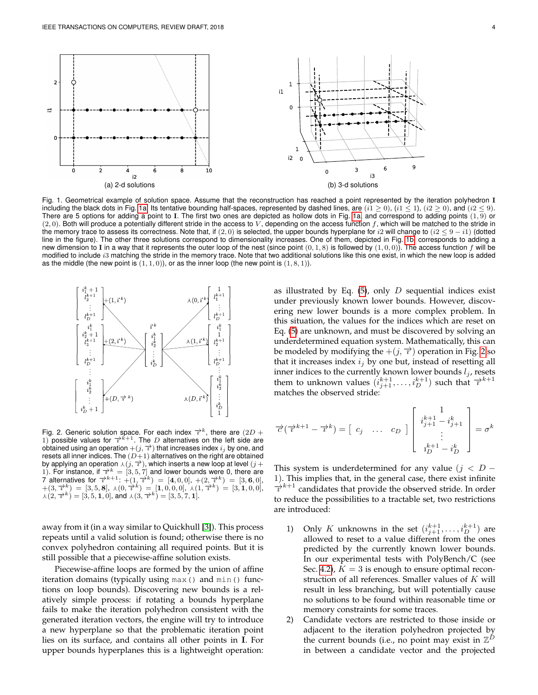<span id="page-3-3"></span><span id="page-3-2"></span>

<span id="page-3-0"></span>Fig. 1. Geometrical example of solution space. Assume that the reconstruction has reached a point represented by the iteration polyhedron I including the black dots in Fig. [1a.](#page-3-2) Its tentative bounding half-spaces, represented by dashed lines, are  $(i1 \ge 0)$ ,  $(i1 \le 1)$ ,  $(i2 \ge 0)$ , and  $(i2 \le 9)$ . There are 5 options for adding a point to I. The first two ones are depicted as hollow dots in Fig. [1a,](#page-3-2) and correspond to adding points  $(1, 9)$  or  $(2, 0)$ . Both will produce a potentially different stride in the access to V, depending on the access function f, which will be matched to the stride in the memory trace to assess its correctness. Note that, if (2,0) is selected, the upper bounds hyperplane for i2 will change to (i2  $\leq$  9  $-$  i1) (dotted line in the figure). The other three solutions correspond to dimensionality increases. One of them, depicted in Fig. [1b,](#page-3-3) corresponds to adding a new dimension to I in a way that it represents the outer loop of the nest (since point  $(0, 1, 8)$  is followed by  $(1, 0, 0)$ ). The access function f will be modified to include i3 matching the stride in the memory trace. Note that two additional solutions like this one exist, in which the new loop is added as the middle (the new point is  $(1, 1, 0)$ ), or as the inner loop (the new point is  $(1, 8, 1)$ ).



<span id="page-3-1"></span>Fig. 2. Generic solution space. For each index  $\overrightarrow{r}^k$ , there are  $(2D +$ 1) possible values for  $\overline{\tau}^{k+1}$ . The D alternatives on the left side are obtained using an operation  $+(j,\overrightarrow{r})$  that increases index  $i_j$  by one, and resets all inner indices. The  $(D+1)$  alternatives on the right are obtained by applying an operation  $\lambda(j, \overrightarrow{x})$ , which inserts a new loop at level  $(j +$ 1). For instance, if  $\overline{\tau}^k = \overline{[3, 5, 7]}$  and lower bounds were 0, there are 7 alternatives for  $\vec{\tau}^{k+1}$ :  $+(\vec{1}, \vec{\tau}^{k}) = [4, 0, 0], +(2, \vec{\tau}^{k}) = [3, 6, 0], +(3, \vec{\tau}^{k}) = [3, 5, 8], \lambda(0, \vec{\tau}^{k}) = [1, 0, 0, 0], \lambda(1, \vec{\tau}^{k}) = [3, 1, 0, 0], \lambda(2, \vec{\tau}^{k}) = [3, 5, 1, 0],$  and  $\lambda(3, \vec{\tau}^{k}) = [3, 5, 7, 1].$ 

away from it (in a way similar to Quickhull [\[3\]](#page-7-14)). This process repeats until a valid solution is found; otherwise there is no convex polyhedron containing all required points. But it is still possible that a piecewise-affine solution exists.

Piecewise-affine loops are formed by the union of affine iteration domains (typically using max() and min() functions on loop bounds). Discovering new bounds is a relatively simple process: if rotating a bounds hyperplane fails to make the iteration polyhedron consistent with the generated iteration vectors, the engine will try to introduce a new hyperplane so that the problematic iteration point lies on its surface, and contains all other points in I. For upper bounds hyperplanes this is a lightweight operation:

as illustrated by Eq.  $(5)$ , only D sequential indices exist under previously known lower bounds. However, discovering new lower bounds is a more complex problem. In this situation, the values for the indices which are reset on Eq. [\(5\)](#page-2-3) are unknown, and must be discovered by solving an underdetermined equation system. Mathematically, this can be modeled by modifying the  $+(j, \vec{\tau})$  operation in Fig. [2](#page-3-1) so that it increases index  $i_j$  by one but, instead of resetting all inner indices to the currently known lower bounds  $l_j$ , resets them to unknown values  $(i_{j+1}^{k+1},...,i_D^{k+1})$  such that  $\overrightarrow{v}^{k+1}$ matches the observed stride:

$$
\overrightarrow{c}(\overrightarrow{v}^{k+1} - \overrightarrow{v}^k) = \begin{bmatrix} c_j & \dots & c_D \end{bmatrix} \begin{bmatrix} 1 \\ i_{j+1}^{k+1} - i_{j+1}^k \\ \vdots \\ i_D^{k+1} - i_D^k \end{bmatrix} = \sigma^k
$$

This system is underdetermined for any value ( $j < D -$ 1). This implies that, in the general case, there exist infinite  $\overrightarrow{v}^{k+1}$  candidates that provide the observed stride. In order to reduce the possibilities to a tractable set, two restrictions are introduced:

- 1) Only K unknowns in the set  $(i^{k+1}_{j+1}, \ldots, i^{k+1}_D)$  are allowed to reset to a value different from the ones predicted by the currently known lower bounds. In our experimental tests with PolyBench/C (see Sec. [4.2\)](#page-5-0),  $K = 3$  is enough to ensure optimal reconstruction of all references. Smaller values of K will result in less branching, but will potentially cause no solutions to be found within reasonable time or memory constraints for some traces.
- 2) Candidate vectors are restricted to those inside or adjacent to the iteration polyhedron projected by the current bounds (i.e., no point may exist in  $\mathbb{Z}^{\tilde{D}}$ in between a candidate vector and the projected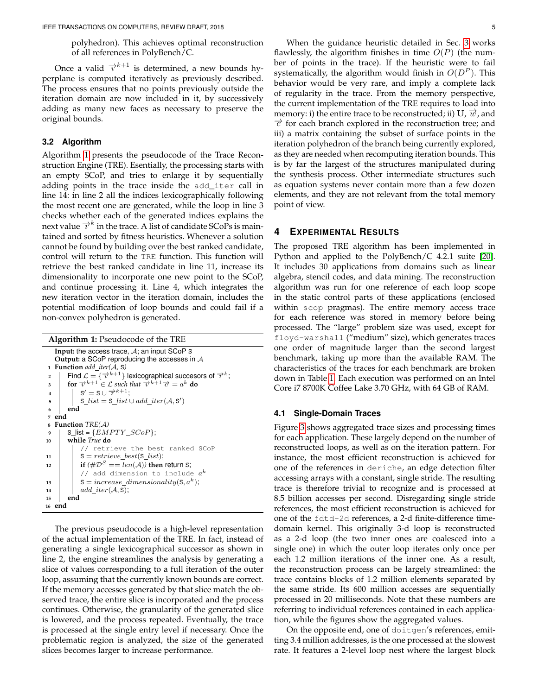polyhedron). This achieves optimal reconstruction of all references in PolyBench/C.

Once a valid  $\overrightarrow{v}^{k+1}$  is determined, a new bounds hyperplane is computed iteratively as previously described. The process ensures that no points previously outside the iteration domain are now included in it, by successively adding as many new faces as necessary to preserve the original bounds.

# <span id="page-4-1"></span>**3.2 Algorithm**

Algorithm [1](#page-4-2) presents the pseudocode of the Trace Reconstruction Engine (TRE). Esentially, the processing starts with an empty SCoP, and tries to enlarge it by sequentially adding points in the trace inside the add\_iter call in line 14: in line 2 all the indices lexicographically following the most recent one are generated, while the loop in line 3 checks whether each of the generated indices explains the next value  $\overrightarrow{v}^k$  in the trace. A list of candidate SCoPs is maintained and sorted by fitness heuristics. Whenever a solution cannot be found by building over the best ranked candidate, control will return to the TRE function. This function will retrieve the best ranked candidate in line 11, increase its dimensionality to incorporate one new point to the SCoP, and continue processing it. Line 4, which integrates the new iteration vector in the iteration domain, includes the potential modification of loop bounds and could fail if a non-convex polyhedron is generated.

```
Algorithm 1: Pseudocode of the TRE
   Input: the access trace, A; an input SCoP S
   Output: a SCoP reproducing the accesses in A
1 Function add iter(A, S)
 2 for \vec{\tau}^{k+1} \in \mathcal{L} such that \vec{\tau}^{k+1} \vec{\tau} = a^k do for \vec{\tau}^{k+1} \in \mathcal{L} such that \vec{\tau}^{k+1} \vec{\tau} = a^k do
 4 S
0 = S ∪ −→ı
k+1;
 \mathsf{s} | S_list = S_list \cup add_iter(\mathcal{A}, \mathsf{S}')
 6 end
7 end
8 Function TRE(A)
       Slist = {EMPTY_SCoP};
10 while True do
            // retrieve the best ranked SCoP
11 | S = retrieve\_best(S\_list);12 if (\#\mathcal{D}^S == len(\mathcal{A})) then return S;
             // add dimension to include a^k13 | S = increase\_dimensionality(S, a^k);14 add\_iter(\mathcal{A}, S),
15 end
16 end
```
<span id="page-4-2"></span>The previous pseudocode is a high-level representation of the actual implementation of the TRE. In fact, instead of generating a single lexicographical successor as shown in line 2, the engine streamlines the analysis by generating a slice of values corresponding to a full iteration of the outer loop, assuming that the currently known bounds are correct. If the memory accesses generated by that slice match the observed trace, the entire slice is incorporated and the process continues. Otherwise, the granularity of the generated slice is lowered, and the process repeated. Eventually, the trace is processed at the single entry level if necessary. Once the problematic region is analyzed, the size of the generated slices becomes larger to increase performance.

When the guidance heuristic detailed in Sec. [3](#page-2-0) works flawlessly, the algorithm finishes in time  $O(P)$  (the number of points in the trace). If the heuristic were to fail systematically, the algorithm would finish in  $O(D^P)$ . This behavior would be very rare, and imply a complete lack of regularity in the trace. From the memory perspective, the current implementation of the TRE requires to load into memory: i) the entire trace to be reconstructed; ii) U,  $\vec{w}$ , and  $\vec{\tau}$  for each branch explored in the reconstruction tree; and iii) a matrix containing the subset of surface points in the iteration polyhedron of the branch being currently explored, as they are needed when recomputing iteration bounds. This is by far the largest of the structures manipulated during the synthesis process. Other intermediate structures such as equation systems never contain more than a few dozen elements, and they are not relevant from the total memory point of view.

# <span id="page-4-0"></span>**4 EXPERIMENTAL RESULTS**

The proposed TRE algorithm has been implemented in Python and applied to the PolyBench/C 4.2.1 suite [\[20\]](#page-7-11). It includes 30 applications from domains such as linear algebra, stencil codes, and data mining. The reconstruction algorithm was run for one reference of each loop scope in the static control parts of these applications (enclosed within scop pragmas). The entire memory access trace for each reference was stored in memory before being processed. The "large" problem size was used, except for floyd-warshall ("medium" size), which generates traces one order of magnitude larger than the second largest benchmark, taking up more than the available RAM. The characteristics of the traces for each benchmark are broken down in Table [1.](#page-5-1) Each execution was performed on an Intel Core i7 8700K Coffee Lake 3.70 GHz, with 64 GB of RAM.

#### <span id="page-4-3"></span>**4.1 Single-Domain Traces**

Figure [3](#page-5-2) shows aggregated trace sizes and processing times for each application. These largely depend on the number of reconstructed loops, as well as on the iteration pattern. For instance, the most efficient reconstruction is achieved for one of the references in deriche, an edge detection filter accessing arrays with a constant, single stride. The resulting trace is therefore trivial to recognize and is processed at 8.5 billion accesses per second. Disregarding single stride references, the most efficient reconstruction is achieved for one of the fdtd-2d references, a 2-d finite-difference timedomain kernel. This originally 3-d loop is reconstructed as a 2-d loop (the two inner ones are coalesced into a single one) in which the outer loop iterates only once per each 1.2 million iterations of the inner one. As a result, the reconstruction process can be largely streamlined: the trace contains blocks of 1.2 million elements separated by the same stride. Its 600 million accesses are sequentially processed in 20 milliseconds. Note that these numbers are referring to individual references contained in each application, while the figures show the aggregated values.

On the opposite end, one of doitgen's references, emitting 3.4 million addresses, is the one processed at the slowest rate. It features a 2-level loop nest where the largest block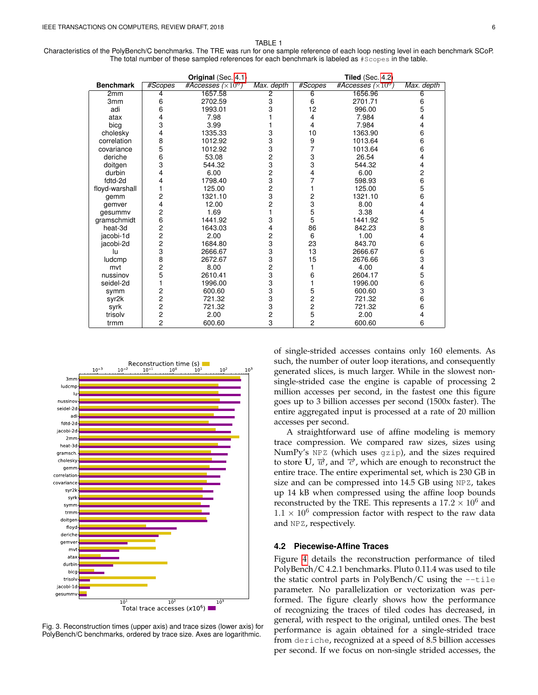TABLE 1

<span id="page-5-1"></span>Characteristics of the PolyBench/C benchmarks. The TRE was run for one sample reference of each loop nesting level in each benchmark SCoP. The total number of these sampled references for each benchmark is labeled as #Scopes in the table.

|                  | Original (Sec. 4.1) |                           |                | <b>Tiled</b> (Sec. 4.2) |                           |                |
|------------------|---------------------|---------------------------|----------------|-------------------------|---------------------------|----------------|
| <b>Benchmark</b> | #Scopes             | #Accesses $(\times 10^6)$ | Max. depth     | #Scopes                 | #Accesses $(\times 10^6)$ | Max. depth     |
| 2mm              | 4                   | 1657.58                   | $\overline{2}$ | 6                       | 1656.96                   | 6              |
| 3mm              | 6                   | 2702.59                   | 3              | 6                       | 2701.71                   | 6              |
| adi              | 6                   | 1993.01                   | 3              | 12                      | 996.00                    | 5              |
| atax             | 4                   | 7.98                      |                | 4                       | 7.984                     | 4              |
| bicg             | 3                   | 3.99                      |                | 4                       | 7.984                     | 4              |
| cholesky         | 4                   | 1335.33                   | 3              | 10                      | 1363.90                   | 6              |
| correlation      | 8                   | 1012.92                   | 3              | 9                       | 1013.64                   | 6              |
| covariance       | 5                   | 1012.92                   | 3              | 7                       | 1013.64                   | 6              |
| deriche          | 6                   | 53.08                     | $\overline{c}$ | 3                       | 26.54                     | 4              |
| doitgen          | 3                   | 544.32                    | 3              | 3                       | 544.32                    | 4              |
| durbin           | 4                   | 6.00                      | $\overline{c}$ | 4                       | 6.00                      | $\mathbf 2$    |
| fdtd-2d          | 4                   | 1798.40                   | 3              | 7                       | 598.93                    | 6              |
| floyd-warshall   | 1                   | 125.00                    | $\overline{c}$ |                         | 125.00                    | 5              |
| gemm             | 2                   | 1321.10                   | 3              | 2                       | 1321.10                   | 6              |
| gemver           | 4                   | 12.00                     | $\overline{c}$ | 3                       | 8.00                      | $\overline{4}$ |
| gesummv          | 2                   | 1.69                      |                | 5                       | 3.38                      | 4              |
| gramschmidt      | 6                   | 1441.92                   | 3              | 5                       | 1441.92                   | 5              |
| heat-3d          | $\overline{c}$      | 1643.03                   | 4              | 86                      | 842.23                    | 8              |
| jacobi-1d        | $\frac{2}{2}$       | 2.00                      | 2              | 6                       | 1.00                      | 4              |
| jacobi-2d        |                     | 1684.80                   | 3              | 23                      | 843.70                    | 6              |
| lu               | 3                   | 2666.67                   | 3              | 13                      | 2666.67                   | 6              |
| ludcmp           | $\frac{8}{2}$       | 2672.67                   | 3              | 15                      | 2676.66                   | 3              |
| mvt              |                     | 8.00                      | 2              |                         | 4.00                      | 4              |
| nussinov         | 5                   | 2610.41                   | 3              | 6                       | 2604.17                   | 5              |
| seidel-2d        | $\mathbf{1}$        | 1996.00                   | 3              | 1                       | 1996.00                   | 6              |
| symm             | 2                   | 600.60                    | 3              | 5                       | 600.60                    | 3              |
| syr2k            | $\overline{c}$      | 721.32                    | 3              | $\overline{c}$          | 721.32                    | 6              |
| syrk             | $\frac{2}{2}$       | 721.32                    | 3              | $\overline{c}$          | 721.32                    | 6              |
| trisolv          |                     | 2.00                      | 2              | 5                       | 2.00                      | 4              |
| trmm             | 2                   | 600.60                    | 3              | 2                       | 600.60                    | 6              |



Total trace accesses  $(x10^6)$  I

<span id="page-5-2"></span>Fig. 3. Reconstruction times (upper axis) and trace sizes (lower axis) for PolyBench/C benchmarks, ordered by trace size. Axes are logarithmic.

of single-strided accesses contains only 160 elements. As such, the number of outer loop iterations, and consequently generated slices, is much larger. While in the slowest nonsingle-strided case the engine is capable of processing 2 million accesses per second, in the fastest one this figure goes up to 3 billion accesses per second (1500x faster). The entire aggregated input is processed at a rate of 20 million accesses per second.

A straightforward use of affine modeling is memory trace compression. We compared raw sizes, sizes using NumPy's NPZ (which uses gzip), and the sizes required to store U,  $\vec{w}$ , and  $\vec{c}$ , which are enough to reconstruct the entire trace. The entire experimental set, which is 230 GB in size and can be compressed into 14.5 GB using NPZ, takes up 14 kB when compressed using the affine loop bounds reconstructed by the TRE. This represents a  $17.2 \times 10^6$  and  $1.1 \times 10^6$  compression factor with respect to the raw data and NPZ, respectively.

#### <span id="page-5-0"></span>**4.2 Piecewise-Affine Traces**

Figure [4](#page-6-1) details the reconstruction performance of tiled PolyBench/C 4.2.1 benchmarks. Pluto 0.11.4 was used to tile the static control parts in PolyBench/C using the  $-\text{time}$ parameter. No parallelization or vectorization was performed. The figure clearly shows how the performance of recognizing the traces of tiled codes has decreased, in general, with respect to the original, untiled ones. The best performance is again obtained for a single-strided trace from deriche, recognized at a speed of 8.5 billion accesses per second. If we focus on non-single strided accesses, the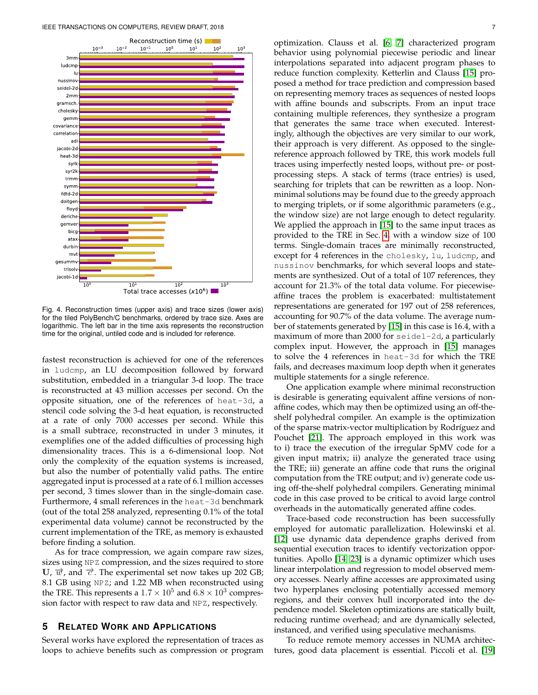

<span id="page-6-1"></span>Fig. 4. Reconstruction times (upper axis) and trace sizes (lower axis) for the tiled PolyBench/C benchmarks, ordered by trace size. Axes are logarithmic. The left bar in the time axis represents the reconstruction time for the original, untiled code and is included for reference.

fastest reconstruction is achieved for one of the references in ludcmp, an LU decomposition followed by forward substitution, embedded in a triangular 3-d loop. The trace is reconstructed at 43 million accesses per second. On the opposite situation, one of the references of heat-3d, a stencil code solving the 3-d heat equation, is reconstructed at a rate of only 7000 accesses per second. While this is a small subtrace, reconstructed in under 3 minutes, it exemplifies one of the added difficulties of processing high dimensionality traces. This is a 6-dimensional loop. Not only the complexity of the equation systems is increased, but also the number of potentially valid paths. The entire aggregated input is processed at a rate of 6.1 million accesses per second, 3 times slower than in the single-domain case. Furthermore, 4 small references in the heat-3d benchmark (out of the total 258 analyzed, representing 0.1% of the total experimental data volume) cannot be reconstructed by the current implementation of the TRE, as memory is exhausted before finding a solution.

As for trace compression, we again compare raw sizes, sizes using NPZ compression, and the sizes required to store U,  $\vec{w}$ , and  $\vec{c}$ . The experimental set now takes up 202 GB; 8.1 GB using NPZ; and 1.22 MB when reconstructed using the TRE. This represents a  $1.7 \times 10^5$  and  $6.8 \times 10^3$  compression factor with respect to raw data and NPZ, respectively.

## <span id="page-6-0"></span>**5 RELATED WORK AND APPLICATIONS**

Several works have explored the representation of traces as loops to achieve benefits such as compression or program optimization. Clauss et al. [\[6,](#page-7-3) [7\]](#page-7-4) characterized program behavior using polynomial piecewise periodic and linear interpolations separated into adjacent program phases to reduce function complexity. Ketterlin and Clauss [\[15\]](#page-7-5) proposed a method for trace prediction and compression based on representing memory traces as sequences of nested loops with affine bounds and subscripts. From an input trace containing multiple references, they synthesize a program that generates the same trace when executed. Interestingly, although the objectives are very similar to our work, their approach is very different. As opposed to the singlereference approach followed by TRE, this work models full traces using imperfectly nested loops, without pre- or postprocessing steps. A stack of terms (trace entries) is used, searching for triplets that can be rewritten as a loop. Nonminimal solutions may be found due to the greedy approach to merging triplets, or if some algorithmic parameters (e.g., the window size) are not large enough to detect regularity. We applied the approach in [\[15\]](#page-7-5) to the same input traces as provided to the TRE in Sec. [4,](#page-4-0) with a window size of 100 terms. Single-domain traces are minimally reconstructed, except for 4 references in the cholesky, lu, ludcmp, and nussinov benchmarks, for which several loops and statements are synthesized. Out of a total of 107 references, they account for 21.3% of the total data volume. For piecewiseaffine traces the problem is exacerbated: multistatement representations are generated for 197 out of 258 references, accounting for 90.7% of the data volume. The average number of statements generated by [\[15\]](#page-7-5) in this case is 16.4, with a maximum of more than 2000 for seidel-2d, a particularly complex input. However, the approach in [\[15\]](#page-7-5) manages to solve the 4 references in heat-3d for which the TRE fails, and decreases maximum loop depth when it generates multiple statements for a single reference.

One application example where minimal reconstruction is desirable is generating equivalent affine versions of nonaffine codes, which may then be optimized using an off-theshelf polyhedral compiler. An example is the optimization of the sparse matrix-vector multiplication by Rodríguez and Pouchet [\[21\]](#page-7-15). The approach employed in this work was to i) trace the execution of the irregular SpMV code for a given input matrix; ii) analyze the generated trace using the TRE; iii) generate an affine code that runs the original computation from the TRE output; and iv) generate code using off-the-shelf polyhedral compilers. Generating minimal code in this case proved to be critical to avoid large control overheads in the automatically generated affine codes.

Trace-based code reconstruction has been successfully employed for automatic parallelization. Holewinski et al. [\[12\]](#page-7-16) use dynamic data dependence graphs derived from sequential execution traces to identify vectorization opportunities. Apollo [\[14,](#page-7-17) [23\]](#page-7-18) is a dynamic optimizer which uses linear interpolation and regression to model observed memory accesses. Nearly affine accesses are approximated using two hyperplanes enclosing potentially accessed memory regions, and their convex hull incorporated into the dependence model. Skeleton optimizations are statically built, reducing runtime overhead; and are dynamically selected, instanced, and verified using speculative mechanisms.

To reduce remote memory accesses in NUMA architectures, good data placement is essential. Piccoli et al. [\[19\]](#page-7-19)